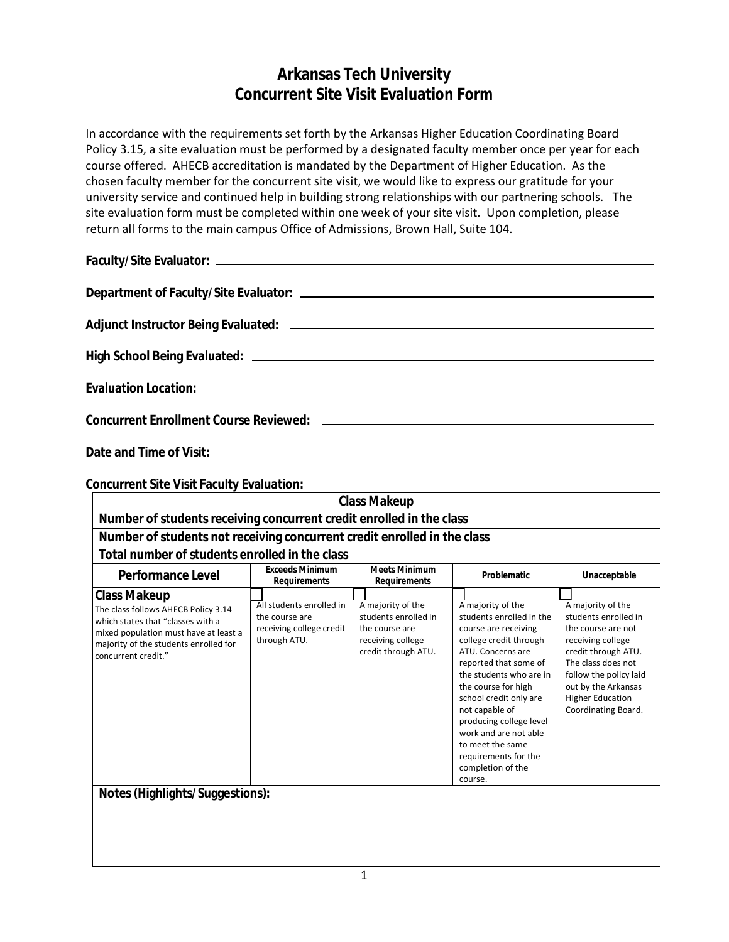## **Arkansas Tech University Concurrent Site Visit Evaluation Form**

In accordance with the requirements set forth by the Arkansas Higher Education Coordinating Board Policy 3.15, a site evaluation must be performed by a designated faculty member once per year for each course offered. AHECB accreditation is mandated by the Department of Higher Education. As the chosen faculty member for the concurrent site visit, we would like to express our gratitude for your university service and continued help in building strong relationships with our partnering schools. The site evaluation form must be completed within one week of your site visit. Upon completion, please return all forms to the main campus Office of Admissions, Brown Hall, Suite 104.

**Date and Time of Visit:**

**Concurrent Site Visit Faculty Evaluation:**

| <b>Class Makeup</b>                                                                                                                                                                                      |                                                                                        |                                                                                                         |                                                                                                                                                                                                                                                                                                                                                                             |                                                                                                                                                                                                                                      |
|----------------------------------------------------------------------------------------------------------------------------------------------------------------------------------------------------------|----------------------------------------------------------------------------------------|---------------------------------------------------------------------------------------------------------|-----------------------------------------------------------------------------------------------------------------------------------------------------------------------------------------------------------------------------------------------------------------------------------------------------------------------------------------------------------------------------|--------------------------------------------------------------------------------------------------------------------------------------------------------------------------------------------------------------------------------------|
| Number of students receiving concurrent credit enrolled in the class                                                                                                                                     |                                                                                        |                                                                                                         |                                                                                                                                                                                                                                                                                                                                                                             |                                                                                                                                                                                                                                      |
|                                                                                                                                                                                                          | Number of students not receiving concurrent credit enrolled in the class               |                                                                                                         |                                                                                                                                                                                                                                                                                                                                                                             |                                                                                                                                                                                                                                      |
| Total number of students enrolled in the class                                                                                                                                                           |                                                                                        |                                                                                                         |                                                                                                                                                                                                                                                                                                                                                                             |                                                                                                                                                                                                                                      |
| <b>Performance Level</b>                                                                                                                                                                                 | <b>Exceeds Minimum</b><br><b>Requirements</b>                                          | <b>Meets Minimum</b><br><b>Requirements</b>                                                             | <b>Problematic</b>                                                                                                                                                                                                                                                                                                                                                          | Unacceptable                                                                                                                                                                                                                         |
| <b>Class Makeup</b><br>The class follows AHECB Policy 3.14<br>which states that "classes with a<br>mixed population must have at least a<br>majority of the students enrolled for<br>concurrent credit." | All students enrolled in<br>the course are<br>receiving college credit<br>through ATU. | A majority of the<br>students enrolled in<br>the course are<br>receiving college<br>credit through ATU. | A majority of the<br>students enrolled in the<br>course are receiving<br>college credit through<br>ATU. Concerns are<br>reported that some of<br>the students who are in<br>the course for high<br>school credit only are<br>not capable of<br>producing college level<br>work and are not able<br>to meet the same<br>requirements for the<br>completion of the<br>course. | A majority of the<br>students enrolled in<br>the course are not<br>receiving college<br>credit through ATU.<br>The class does not<br>follow the policy laid<br>out by the Arkansas<br><b>Higher Education</b><br>Coordinating Board. |
| <b>Notes (Highlights/Suggestions):</b>                                                                                                                                                                   |                                                                                        |                                                                                                         |                                                                                                                                                                                                                                                                                                                                                                             |                                                                                                                                                                                                                                      |
|                                                                                                                                                                                                          |                                                                                        |                                                                                                         |                                                                                                                                                                                                                                                                                                                                                                             |                                                                                                                                                                                                                                      |
|                                                                                                                                                                                                          |                                                                                        |                                                                                                         |                                                                                                                                                                                                                                                                                                                                                                             |                                                                                                                                                                                                                                      |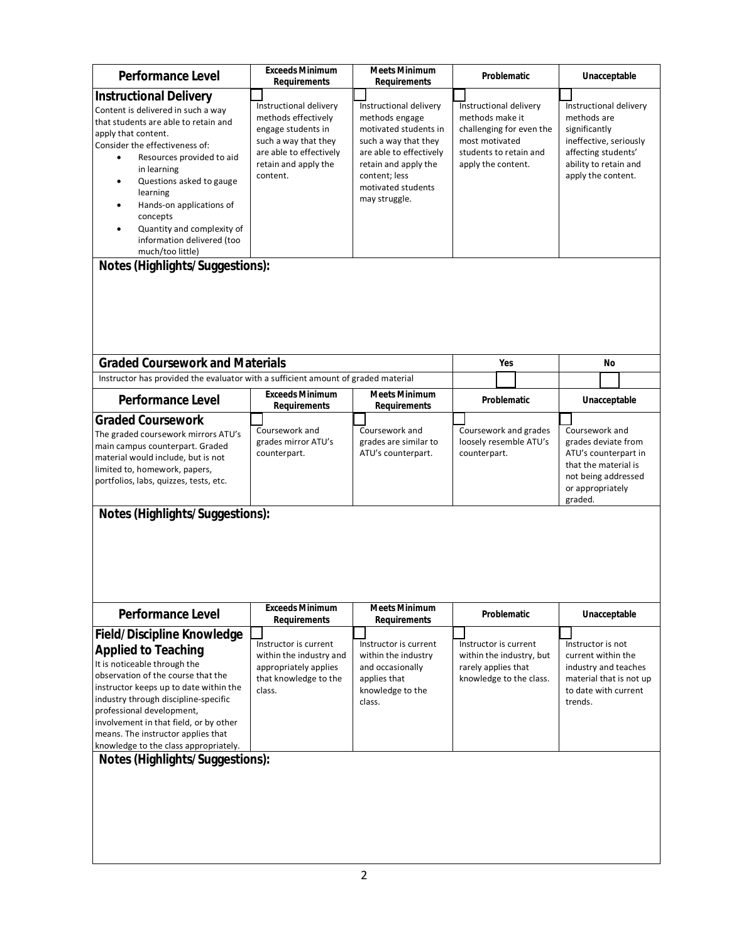| <b>Performance Level</b>                                                                                                                                                                                                                                                                                                                                                                               | <b>Exceeds Minimum</b><br><b>Requirements</b>                                                                                                                 | <b>Meets Minimum</b><br><b>Requirements</b>                                                                                                                                                          | Problematic                                                                                                                             | Unacceptable                                                                                                                                           |
|--------------------------------------------------------------------------------------------------------------------------------------------------------------------------------------------------------------------------------------------------------------------------------------------------------------------------------------------------------------------------------------------------------|---------------------------------------------------------------------------------------------------------------------------------------------------------------|------------------------------------------------------------------------------------------------------------------------------------------------------------------------------------------------------|-----------------------------------------------------------------------------------------------------------------------------------------|--------------------------------------------------------------------------------------------------------------------------------------------------------|
| <b>Instructional Delivery</b>                                                                                                                                                                                                                                                                                                                                                                          |                                                                                                                                                               |                                                                                                                                                                                                      |                                                                                                                                         |                                                                                                                                                        |
| Content is delivered in such a way<br>that students are able to retain and<br>apply that content.<br>Consider the effectiveness of:<br>Resources provided to aid<br>in learning<br>Questions asked to gauge<br>$\bullet$<br>learning<br>Hands-on applications of<br>concepts<br>Quantity and complexity of<br>information delivered (too<br>much/too little)<br><b>Notes (Highlights/Suggestions):</b> | Instructional delivery<br>methods effectively<br>engage students in<br>such a way that they<br>are able to effectively<br>retain and apply the<br>content.    | Instructional delivery<br>methods engage<br>motivated students in<br>such a way that they<br>are able to effectively<br>retain and apply the<br>content; less<br>motivated students<br>may struggle. | Instructional delivery<br>methods make it<br>challenging for even the<br>most motivated<br>students to retain and<br>apply the content. | Instructional delivery<br>methods are<br>significantly<br>ineffective, seriously<br>affecting students'<br>ability to retain and<br>apply the content. |
| <b>Graded Coursework and Materials</b>                                                                                                                                                                                                                                                                                                                                                                 |                                                                                                                                                               |                                                                                                                                                                                                      | Yes                                                                                                                                     | No                                                                                                                                                     |
| Instructor has provided the evaluator with a sufficient amount of graded material                                                                                                                                                                                                                                                                                                                      |                                                                                                                                                               |                                                                                                                                                                                                      |                                                                                                                                         |                                                                                                                                                        |
|                                                                                                                                                                                                                                                                                                                                                                                                        | <b>Exceeds Minimum</b>                                                                                                                                        | <b>Meets Minimum</b>                                                                                                                                                                                 |                                                                                                                                         |                                                                                                                                                        |
| <b>Performance Level</b>                                                                                                                                                                                                                                                                                                                                                                               | <b>Requirements</b>                                                                                                                                           | <b>Requirements</b>                                                                                                                                                                                  | Problematic                                                                                                                             | Unacceptable                                                                                                                                           |
| <b>Graded Coursework</b><br>The graded coursework mirrors ATU's<br>main campus counterpart. Graded<br>material would include, but is not<br>limited to, homework, papers,<br>portfolios, labs, quizzes, tests, etc.                                                                                                                                                                                    | Coursework and<br>grades mirror ATU's<br>counterpart.                                                                                                         | Coursework and<br>grades are similar to<br>ATU's counterpart.                                                                                                                                        | Coursework and grades<br>loosely resemble ATU's<br>counterpart.                                                                         | Coursework and<br>grades deviate from<br>ATU's counterpart in<br>that the material is<br>not being addressed<br>or appropriately<br>graded.            |
| <b>Performance Level</b><br><b>Field/Discipline Knowledge</b><br><b>Applied to Teaching</b><br>It is noticeable through the<br>observation of the course that the<br>instructor keeps up to date within the<br>industry through discipline-specific<br>professional development,                                                                                                                       | <b>Exceeds Minimum</b><br><b>Requirements</b><br>Instructor is current<br>within the industry and<br>appropriately applies<br>that knowledge to the<br>class. | <b>Meets Minimum</b><br><b>Requirements</b><br>Instructor is current<br>within the industry<br>and occasionally<br>applies that<br>knowledge to the<br>class.                                        | Problematic<br>Instructor is current<br>within the industry, but<br>rarely applies that<br>knowledge to the class.                      | Unacceptable<br>Instructor is not<br>current within the<br>industry and teaches<br>material that is not up<br>to date with current<br>trends.          |
| involvement in that field, or by other<br>means. The instructor applies that<br>knowledge to the class appropriately.<br><b>Notes (Highlights/Suggestions):</b>                                                                                                                                                                                                                                        |                                                                                                                                                               |                                                                                                                                                                                                      |                                                                                                                                         |                                                                                                                                                        |
|                                                                                                                                                                                                                                                                                                                                                                                                        |                                                                                                                                                               |                                                                                                                                                                                                      |                                                                                                                                         |                                                                                                                                                        |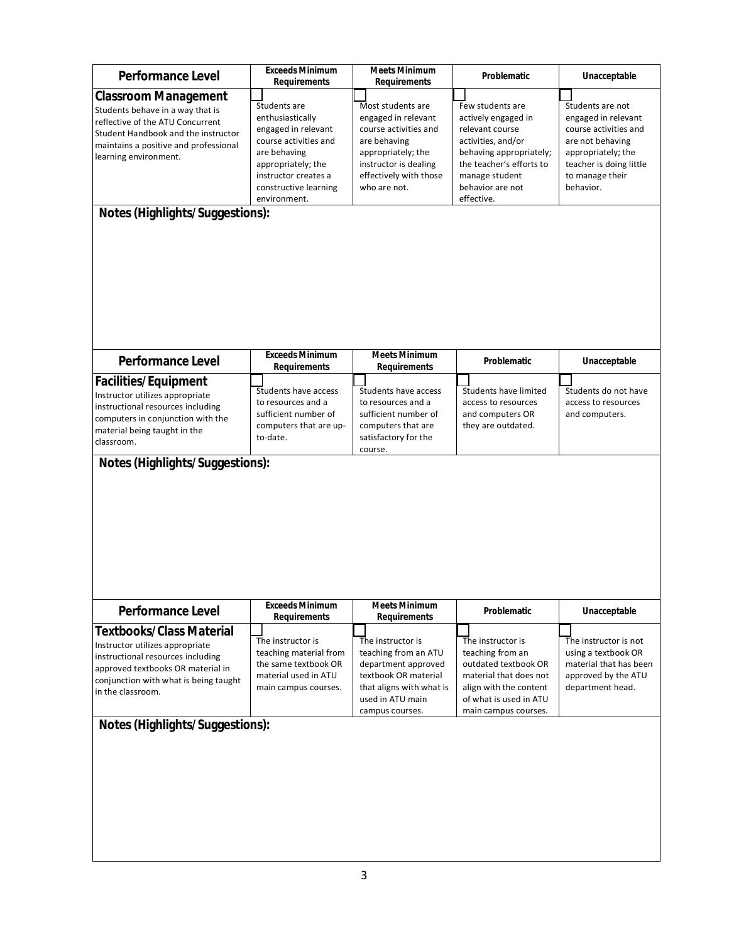| <b>Performance Level</b>                   | <b>Exceeds Minimum</b><br><b>Requirements</b> | <b>Meets Minimum</b><br><b>Requirements</b> | Problematic                                    | Unacceptable                                |
|--------------------------------------------|-----------------------------------------------|---------------------------------------------|------------------------------------------------|---------------------------------------------|
| <b>Classroom Management</b>                |                                               |                                             |                                                |                                             |
| Students behave in a way that is           | Students are                                  | Most students are                           | Few students are                               | Students are not                            |
| reflective of the ATU Concurrent           | enthusiastically                              | engaged in relevant                         | actively engaged in                            | engaged in relevant                         |
| Student Handbook and the instructor        | engaged in relevant                           | course activities and                       | relevant course                                | course activities and                       |
| maintains a positive and professional      | course activities and                         | are behaving                                | activities, and/or                             | are not behaving                            |
| learning environment.                      | are behaving                                  | appropriately; the                          | behaving appropriately;                        | appropriately; the                          |
|                                            | appropriately; the                            | instructor is dealing                       | the teacher's efforts to                       | teacher is doing little                     |
|                                            | instructor creates a<br>constructive learning | effectively with those<br>who are not.      | manage student<br>behavior are not             | to manage their<br>behavior.                |
|                                            | environment.                                  |                                             | effective.                                     |                                             |
| <b>Notes (Highlights/Suggestions):</b>     |                                               |                                             |                                                |                                             |
|                                            |                                               |                                             |                                                |                                             |
| <b>Performance Level</b>                   | <b>Exceeds Minimum</b>                        | <b>Meets Minimum</b>                        | Problematic                                    | Unacceptable                                |
|                                            | <b>Requirements</b>                           | <b>Requirements</b>                         |                                                |                                             |
| <b>Facilities/Equipment</b>                |                                               |                                             | Students have limited                          |                                             |
| Instructor utilizes appropriate            | Students have access<br>to resources and a    | Students have access<br>to resources and a  | access to resources                            | Students do not have<br>access to resources |
| instructional resources including          | sufficient number of                          | sufficient number of                        | and computers OR                               | and computers.                              |
| computers in conjunction with the          | computers that are up-                        | computers that are                          | they are outdated.                             |                                             |
| material being taught in the<br>classroom. | to-date.                                      | satisfactory for the                        |                                                |                                             |
|                                            |                                               | course.                                     |                                                |                                             |
|                                            |                                               |                                             |                                                |                                             |
| <b>Performance Level</b>                   | <b>Exceeds Minimum</b><br><b>Requirements</b> | <b>Meets Minimum</b><br><b>Requirements</b> | <b>Problematic</b>                             | Unacceptable                                |
| <b>Textbooks/Class Material</b>            |                                               |                                             |                                                |                                             |
| Instructor utilizes appropriate            | The instructor is                             | The instructor is                           | The instructor is                              | The instructor is not                       |
| instructional resources including          | teaching material from                        | teaching from an ATU                        | teaching from an                               | using a textbook OR                         |
| approved textbooks OR material in          | the same textbook OR                          | department approved                         | outdated textbook OR                           | material that has been                      |
| conjunction with what is being taught      | material used in ATU                          | textbook OR material                        | material that does not                         | approved by the ATU                         |
| in the classroom.                          | main campus courses.                          | that aligns with what is                    | align with the content                         | department head.                            |
|                                            |                                               | used in ATU main                            | of what is used in ATU<br>main campus courses. |                                             |
| <b>Notes (Highlights/Suggestions):</b>     |                                               | campus courses.                             |                                                |                                             |
|                                            |                                               |                                             |                                                |                                             |
|                                            |                                               |                                             |                                                |                                             |
|                                            |                                               |                                             |                                                |                                             |
|                                            |                                               |                                             |                                                |                                             |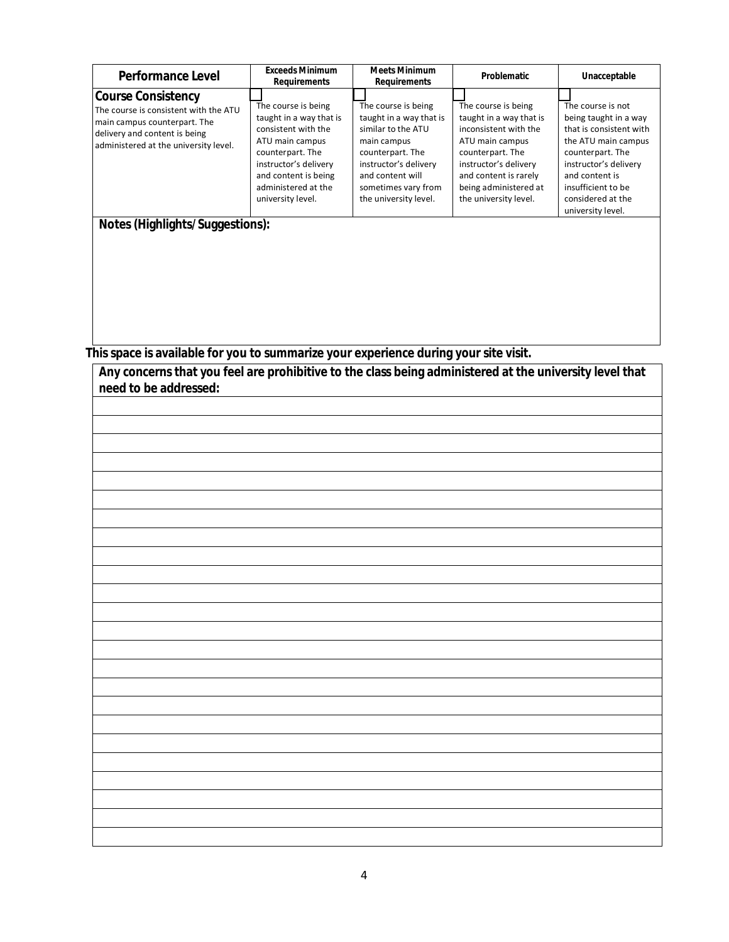| <b>Performance Level</b>                                                                                                                                                                                        | <b>Exceeds Minimum</b><br><b>Requirements</b>                                                                                                                                                             | <b>Meets Minimum</b><br><b>Requirements</b>                                                                                                                                                          | <b>Problematic</b>                                                                                                                                                                                                 | Unacceptable                                                                                                                                                                                                                |
|-----------------------------------------------------------------------------------------------------------------------------------------------------------------------------------------------------------------|-----------------------------------------------------------------------------------------------------------------------------------------------------------------------------------------------------------|------------------------------------------------------------------------------------------------------------------------------------------------------------------------------------------------------|--------------------------------------------------------------------------------------------------------------------------------------------------------------------------------------------------------------------|-----------------------------------------------------------------------------------------------------------------------------------------------------------------------------------------------------------------------------|
| <b>Course Consistency</b><br>The course is consistent with the ATU<br>main campus counterpart. The<br>delivery and content is being<br>administered at the university level.<br>Notes (Highlights/Suggestions): | The course is being<br>taught in a way that is<br>consistent with the<br>ATU main campus<br>counterpart. The<br>instructor's delivery<br>and content is being<br>administered at the<br>university level. | The course is being<br>taught in a way that is<br>similar to the ATU<br>main campus<br>counterpart. The<br>instructor's delivery<br>and content will<br>sometimes vary from<br>the university level. | The course is being<br>taught in a way that is<br>inconsistent with the<br>ATU main campus<br>counterpart. The<br>instructor's delivery<br>and content is rarely<br>being administered at<br>the university level. | The course is not<br>being taught in a way<br>that is consistent with<br>the ATU main campus<br>counterpart. The<br>instructor's delivery<br>and content is<br>insufficient to be<br>considered at the<br>university level. |

**This space is available for you to summarize your experience during your site visit.**

**Any concerns that you feel are prohibitive to the class being administered at the university level that** 

| need to be addressed: |
|-----------------------|
|                       |
|                       |
|                       |
|                       |
|                       |
|                       |
|                       |
|                       |
|                       |
|                       |
|                       |
|                       |
|                       |
|                       |
|                       |
|                       |
|                       |
|                       |
|                       |
|                       |
|                       |
|                       |
|                       |
|                       |
|                       |